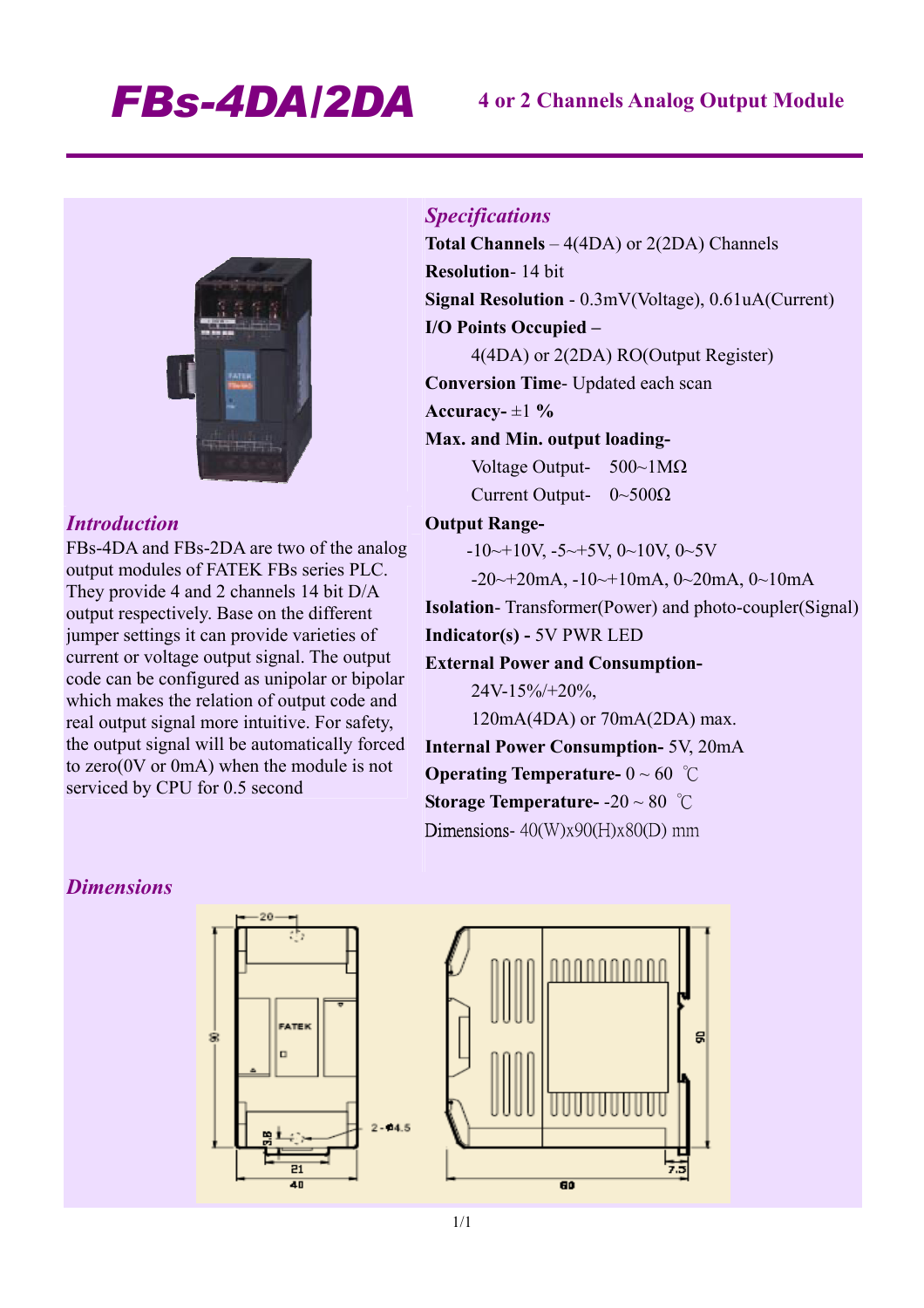# *FBs-4DA/2DA* **4 or 2 Channels Analog Output Module**



# *Introduction*

FBs-4DA and FBs-2DA are two of the analog output modules of FATEK FBs series PLC. They provide 4 and 2 channels 14 bit D/A output respectively. Base on the different jumper settings it can provide varieties of current or voltage output signal. The output code can be configured as unipolar or bipolar which makes the relation of output code and real output signal more intuitive. For safety, the output signal will be automatically forced to zero(0V or 0mA) when the module is not serviced by CPU for 0.5 second

# *Specifications*

**Total Channels** – 4(4DA) or 2(2DA) Channels **Resolution**- 14 bit **Signal Resolution** - 0.3mV(Voltage), 0.61uA(Current) **I/O Points Occupied –**  4(4DA) or 2(2DA) RO(Output Register) **Conversion Time**- Updated each scan

**Accuracy-** ±1 **%** 

# **Max. and Min. output loading-**

Voltage Output- 500~1MΩ Current Output- 0~500Ω

### **Output Range-**

 $-10 \rightarrow 10V, -5 \rightarrow 5V, 0 \rightarrow 10V, 0 \rightarrow 5V$ 

 $-20 \rightarrow 20$ mA,  $-10 \rightarrow 10$ mA,  $0 \rightarrow 20$ mA,  $0 \rightarrow 10$ mA

**Isolation**- Transformer(Power) and photo-coupler(Signal) **Indicator(s) -** 5V PWR LED

g

### **External Power and Consumption-**

24V-15%/+20%,

120mA(4DA) or 70mA(2DA) max.

**Internal Power Consumption-** 5V, 20mA **Operating Temperature-** 0 ~ 60 ℃ **Storage Temperature-** -20 ~ 80 ℃ Dimensions-  $40$ (W)x90(H)x80(D) mm

# *Dimensions*

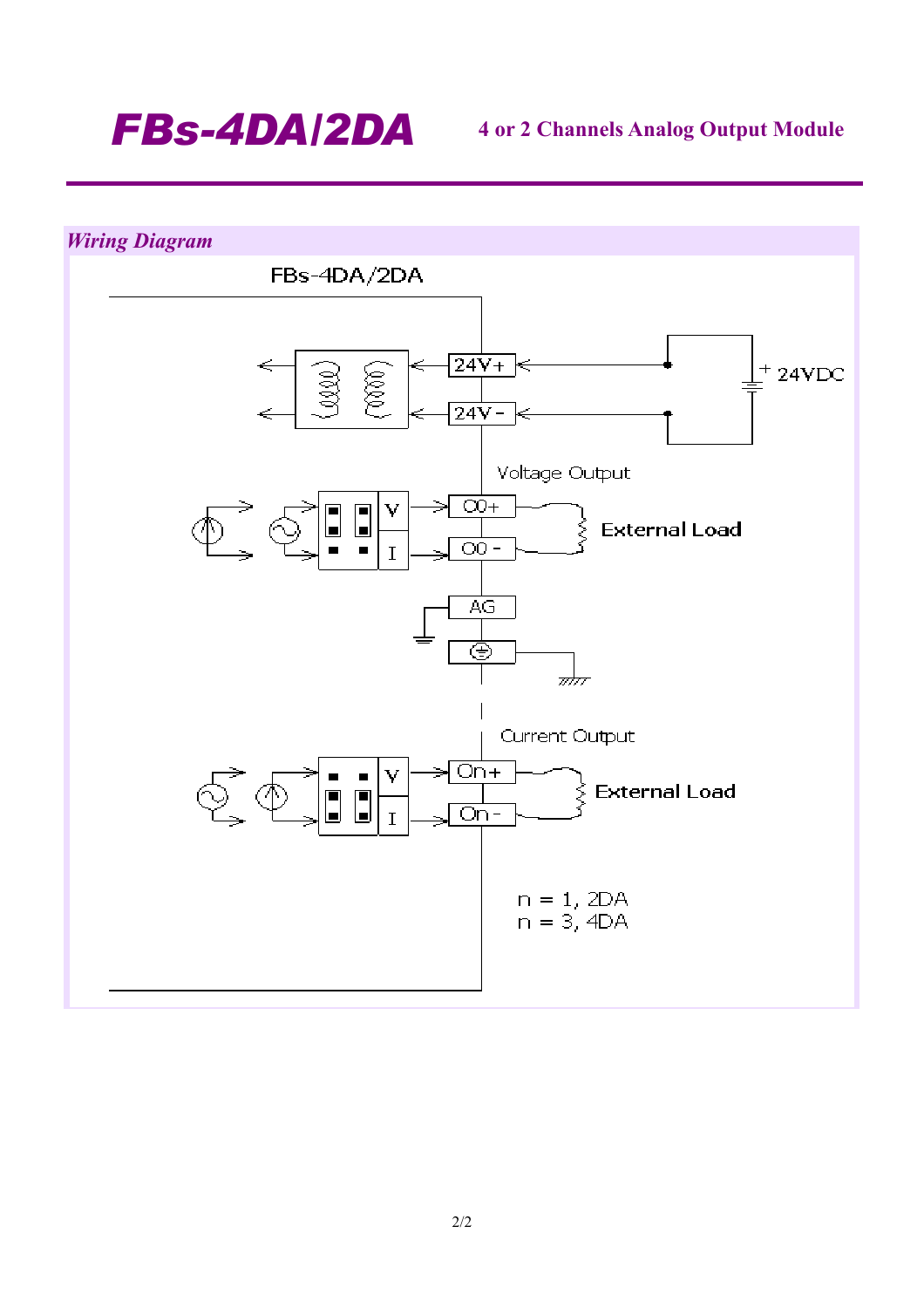

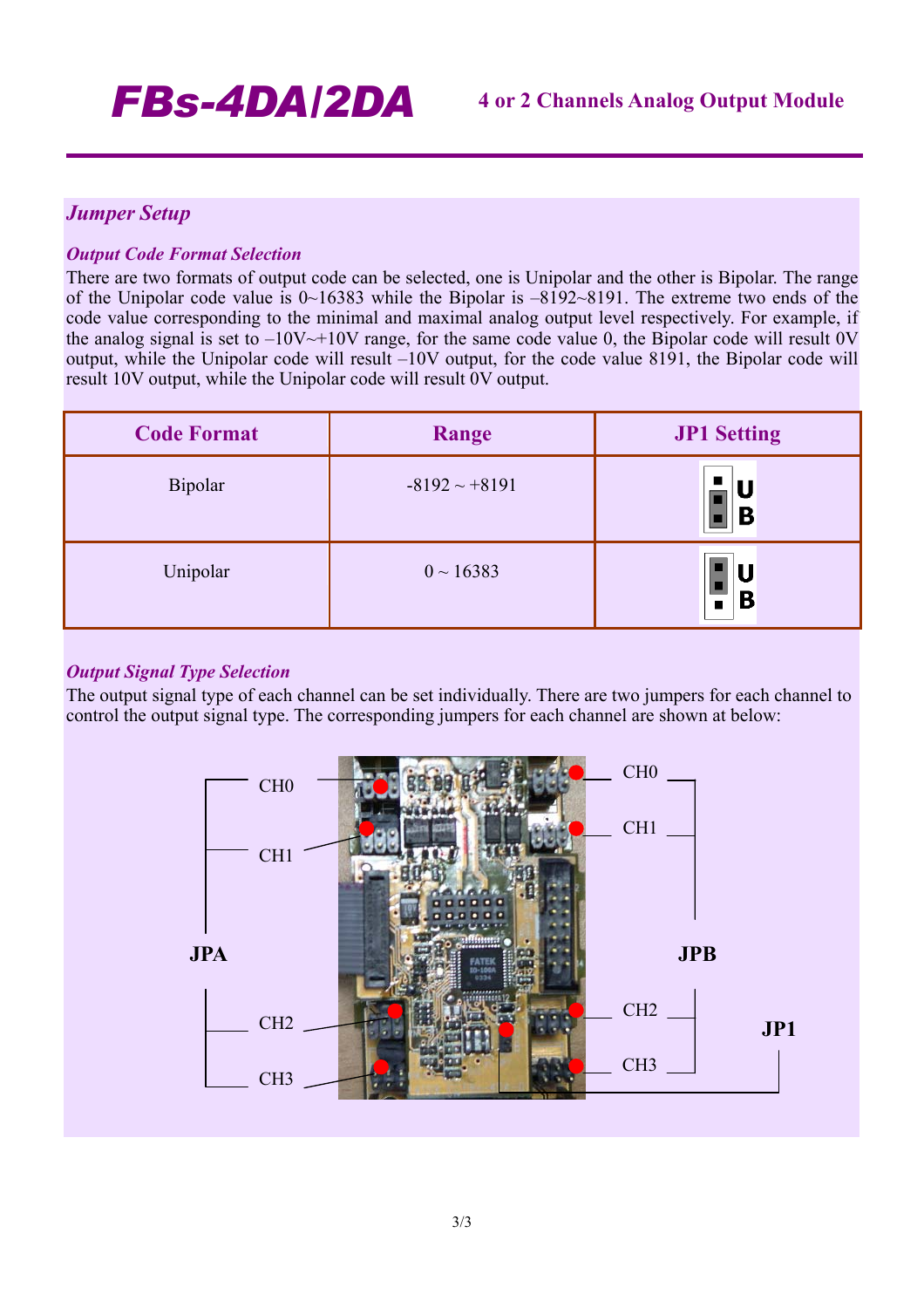# *Jumper Setup*

# *Output Code Format Selection*

There are two formats of output code can be selected, one is Unipolar and the other is Bipolar. The range of the Unipolar code value is 0~16383 while the Bipolar is –8192~8191. The extreme two ends of the code value corresponding to the minimal and maximal analog output level respectively. For example, if the analog signal is set to  $-10V \rightarrow +10V$  range, for the same code value 0, the Bipolar code will result 0V output, while the Unipolar code will result –10V output, for the code value 8191, the Bipolar code will result 10V output, while the Unipolar code will result 0V output.

| <b>Code Format</b> | Range              | <b>JP1 Setting</b> |
|--------------------|--------------------|--------------------|
| <b>Bipolar</b>     | $-8192 \sim +8191$ | B                  |
| Unipolar           | $0 \sim 16383$     | U<br>B             |

# *Output Signal Type Selection*

The output signal type of each channel can be set individually. There are two jumpers for each channel to control the output signal type. The corresponding jumpers for each channel are shown at below: